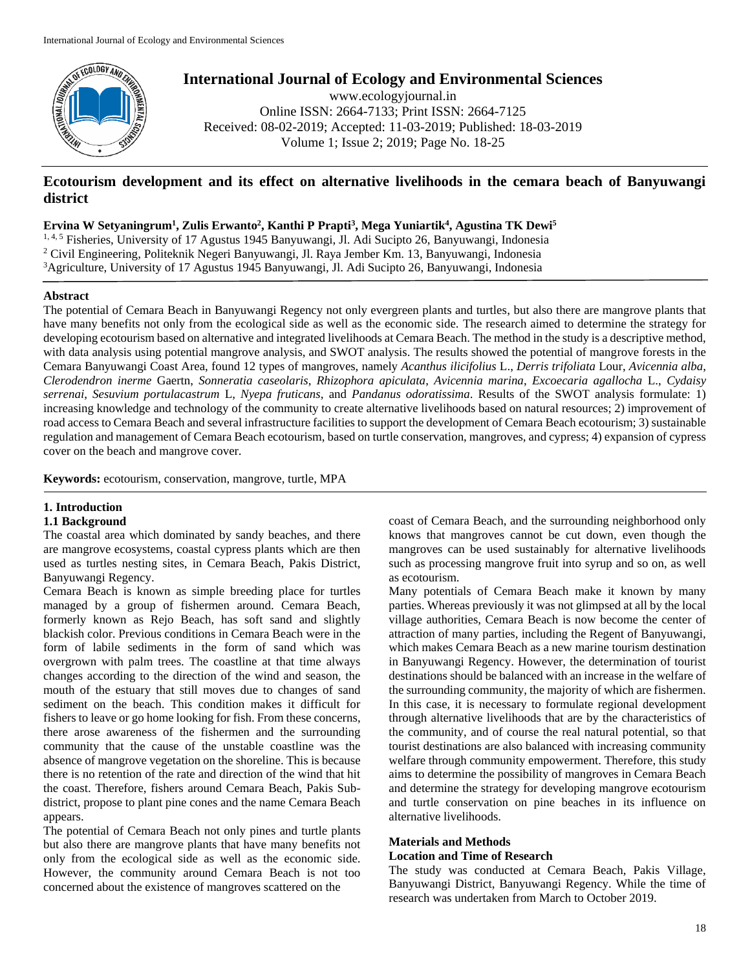

**International Journal of Ecology and Environmental Sciences**

www.ecologyjournal.in Online ISSN: 2664-7133; Print ISSN: 2664-7125 Received: 08-02-2019; Accepted: 11-03-2019; Published: 18-03-2019 Volume 1; Issue 2; 2019; Page No. 18-25

# **Ecotourism development and its effect on alternative livelihoods in the cemara beach of Banyuwangi district**

**Ervina W Setyaningrum<sup>1</sup> , Zulis Erwanto<sup>2</sup> , Kanthi P Prapti<sup>3</sup> , Mega Yuniartik<sup>4</sup> , Agustina TK Dewi<sup>5</sup>**

1, 4, 5 Fisheries, University of 17 Agustus 1945 Banyuwangi, Jl. Adi Sucipto 26, Banyuwangi, Indonesia <sup>2</sup> Civil Engineering, Politeknik Negeri Banyuwangi, Jl. Raya Jember Km. 13, Banyuwangi, Indonesia <sup>3</sup>Agriculture, University of 17 Agustus 1945 Banyuwangi, Jl. Adi Sucipto 26, Banyuwangi, Indonesia

# **Abstract**

The potential of Cemara Beach in Banyuwangi Regency not only evergreen plants and turtles, but also there are mangrove plants that have many benefits not only from the ecological side as well as the economic side. The research aimed to determine the strategy for developing ecotourism based on alternative and integrated livelihoods at Cemara Beach. The method in the study is a descriptive method, with data analysis using potential mangrove analysis, and SWOT analysis. The results showed the potential of mangrove forests in the Cemara Banyuwangi Coast Area, found 12 types of mangroves, namely *Acanthus ilicifolius* L., *Derris trifoliata* Lour, *Avicennia alba*, *Clerodendron inerme* Gaertn, *Sonneratia caseolaris*, *Rhizophora apiculata*, *Avicennia marina*, *Excoecaria agallocha* L., *Cydaisy serrenai*, *Sesuvium portulacastrum* L, *Nyepa fruticans*, and *Pandanus odoratissima*. Results of the SWOT analysis formulate: 1) increasing knowledge and technology of the community to create alternative livelihoods based on natural resources; 2) improvement of road access to Cemara Beach and several infrastructure facilities to support the development of Cemara Beach ecotourism; 3) sustainable regulation and management of Cemara Beach ecotourism, based on turtle conservation, mangroves, and cypress; 4) expansion of cypress cover on the beach and mangrove cover.

**Keywords:** ecotourism, conservation, mangrove, turtle, MPA

# **1. Introduction**

## **1.1 Background**

The coastal area which dominated by sandy beaches, and there are mangrove ecosystems, coastal cypress plants which are then used as turtles nesting sites, in Cemara Beach, Pakis District, Banyuwangi Regency.

Cemara Beach is known as simple breeding place for turtles managed by a group of fishermen around. Cemara Beach, formerly known as Rejo Beach, has soft sand and slightly blackish color. Previous conditions in Cemara Beach were in the form of labile sediments in the form of sand which was overgrown with palm trees. The coastline at that time always changes according to the direction of the wind and season, the mouth of the estuary that still moves due to changes of sand sediment on the beach. This condition makes it difficult for fishers to leave or go home looking for fish. From these concerns, there arose awareness of the fishermen and the surrounding community that the cause of the unstable coastline was the absence of mangrove vegetation on the shoreline. This is because there is no retention of the rate and direction of the wind that hit the coast. Therefore, fishers around Cemara Beach, Pakis Subdistrict, propose to plant pine cones and the name Cemara Beach appears.

The potential of Cemara Beach not only pines and turtle plants but also there are mangrove plants that have many benefits not only from the ecological side as well as the economic side. However, the community around Cemara Beach is not too concerned about the existence of mangroves scattered on the

coast of Cemara Beach, and the surrounding neighborhood only knows that mangroves cannot be cut down, even though the mangroves can be used sustainably for alternative livelihoods such as processing mangrove fruit into syrup and so on, as well as ecotourism.

Many potentials of Cemara Beach make it known by many parties. Whereas previously it was not glimpsed at all by the local village authorities, Cemara Beach is now become the center of attraction of many parties, including the Regent of Banyuwangi, which makes Cemara Beach as a new marine tourism destination in Banyuwangi Regency. However, the determination of tourist destinations should be balanced with an increase in the welfare of the surrounding community, the majority of which are fishermen. In this case, it is necessary to formulate regional development through alternative livelihoods that are by the characteristics of the community, and of course the real natural potential, so that tourist destinations are also balanced with increasing community welfare through community empowerment. Therefore, this study aims to determine the possibility of mangroves in Cemara Beach and determine the strategy for developing mangrove ecotourism and turtle conservation on pine beaches in its influence on alternative livelihoods.

# **Materials and Methods**

# **Location and Time of Research**

The study was conducted at Cemara Beach, Pakis Village, Banyuwangi District, Banyuwangi Regency. While the time of research was undertaken from March to October 2019.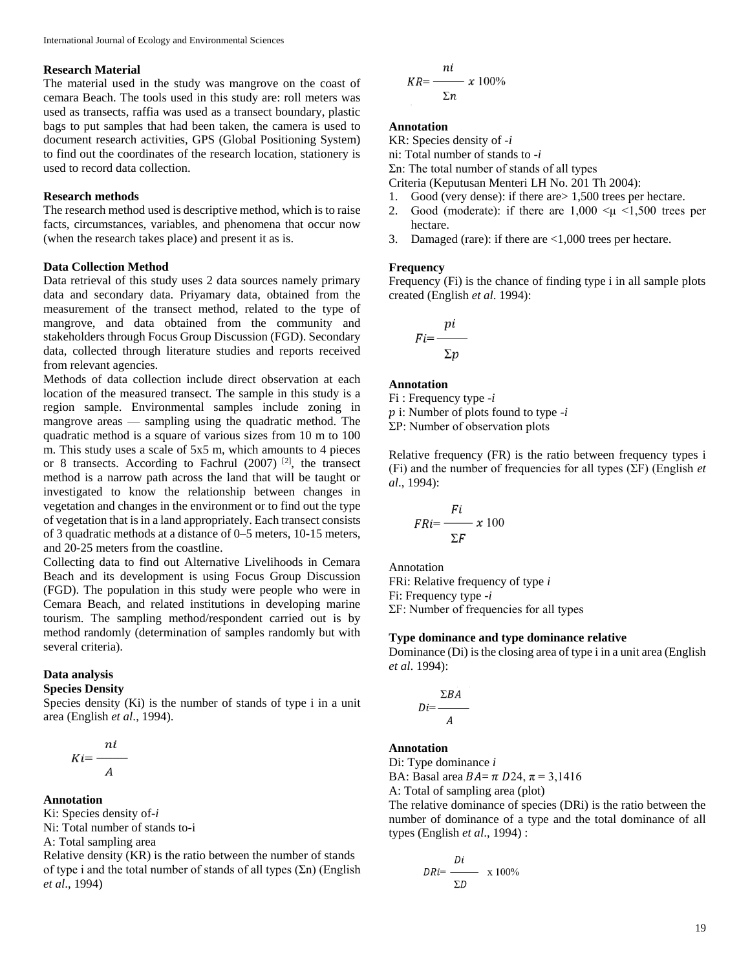### **Research Material**

The material used in the study was mangrove on the coast of cemara Beach. The tools used in this study are: roll meters was used as transects, raffia was used as a transect boundary, plastic bags to put samples that had been taken, the camera is used to document research activities, GPS (Global Positioning System) to find out the coordinates of the research location, stationery is used to record data collection.

#### **Research methods**

The research method used is descriptive method, which is to raise facts, circumstances, variables, and phenomena that occur now (when the research takes place) and present it as is.

#### **Data Collection Method**

Data retrieval of this study uses 2 data sources namely primary data and secondary data. Priyamary data, obtained from the measurement of the transect method, related to the type of mangrove, and data obtained from the community and stakeholders through Focus Group Discussion (FGD). Secondary data, collected through literature studies and reports received from relevant agencies.

Methods of data collection include direct observation at each location of the measured transect. The sample in this study is a region sample. Environmental samples include zoning in mangrove areas — sampling using the quadratic method. The quadratic method is a square of various sizes from 10 m to 100 m. This study uses a scale of 5x5 m, which amounts to 4 pieces or 8 transects. According to Fachrul (2007) [2], the transect method is a narrow path across the land that will be taught or investigated to know the relationship between changes in vegetation and changes in the environment or to find out the type of vegetation that is in a land appropriately. Each transect consists of 3 quadratic methods at a distance of 0–5 meters, 10-15 meters, and 20-25 meters from the coastline.

Collecting data to find out Alternative Livelihoods in Cemara Beach and its development is using Focus Group Discussion (FGD). The population in this study were people who were in Cemara Beach, and related institutions in developing marine tourism. The sampling method/respondent carried out is by method randomly (determination of samples randomly but with several criteria).

#### **Data analysis**

## **Species Density**

Species density (Ki) is the number of stands of type i in a unit area (English *et al*., 1994).

$$
Ki = \frac{ni}{A}
$$

### **Annotation**

Ki: Species density of-*i* 

Ni: Total number of stands to-i

A: Total sampling area

Relative density (KR) is the ratio between the number of stands of type i and the total number of stands of all types  $(2n)$  (English *et al*., 1994)

$$
KR = \frac{ni}{\Sigma n} \times 100\%
$$

# **Annotation**

KR: Species density of -*i* 

ni: Total number of stands to -*i* 

Σn: The total number of stands of all types

Criteria (Keputusan Menteri LH No. 201 Th 2004):

- 1. Good (very dense): if there are> 1,500 trees per hectare.
- 2. Good (moderate): if there are  $1,000 \leq \mu \leq 1,500$  trees per hectare.
- 3. Damaged (rare): if there are <1,000 trees per hectare.

#### **Frequency**

Frequency (Fi) is the chance of finding type i in all sample plots created (English *et al*. 1994):

$$
Fi = \frac{pi}{\sum p}
$$

### **Annotation**

Fi : Frequency type -*i* 

i: Number of plots found to type -*i* 

ΣP: Number of observation plots

Relative frequency (FR) is the ratio between frequency types i (Fi) and the number of frequencies for all types (ΣF) (English *et al*., 1994):

$$
FRi = \frac{Fi}{\Sigma F} \times 100
$$

Annotation FRi: Relative frequency of type *i*  Fi: Frequency type -*i*  ΣF: Number of frequencies for all types

#### **Type dominance and type dominance relative**

Dominance (Di) is the closing area of type i in a unit area (English *et al*. 1994):

$$
Di = \frac{\Sigma BA}{A}
$$

#### **Annotation**

Di: Type dominance *i* 

BA: Basal area  $BA = \pi D24$ ,  $\pi = 3,1416$ 

A: Total of sampling area (plot)

The relative dominance of species (DRi) is the ratio between the number of dominance of a type and the total dominance of all types (English *et al*., 1994) :

$$
DRi = \frac{Di}{\Sigma D} \times 100\%
$$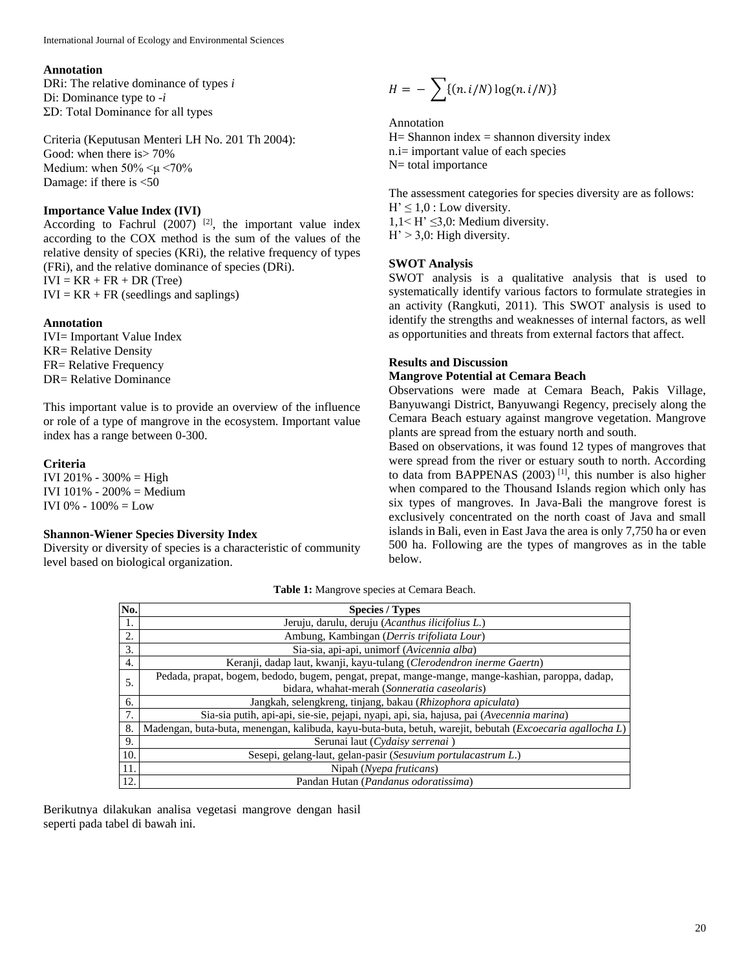#### **Annotation**

DRi: The relative dominance of types *i*  Di: Dominance type to -*i*  ΣD: Total Dominance for all types

Criteria (Keputusan Menteri LH No. 201 Th 2004): Good: when there is> 70% Medium: when 50% <μ <70% Damage: if there is <50

# **Importance Value Index (IVI)**

According to Fachrul  $(2007)$  <sup>[2]</sup>, the important value index according to the COX method is the sum of the values of the relative density of species (KRi), the relative frequency of types (FRi), and the relative dominance of species (DRi).  $IVI = KR + FR + DR$  (Tree)  $IVI = KR + FR$  (seedlings and saplings)

## **Annotation**

IVI= Important Value Index KR= Relative Density FR= Relative Frequency DR= Relative Dominance

This important value is to provide an overview of the influence or role of a type of mangrove in the ecosystem. Important value index has a range between 0-300.

#### **Criteria**

IVI 201% - 300% = High IVI 101% - 200% = Medium IVI 0% - 100% = Low

# **Shannon-Wiener Species Diversity Index**

Diversity or diversity of species is a characteristic of community level based on biological organization.

$$
H = -\sum \{(n.i/N) \log(n.i/N)\}
$$

Annotation

 $H=$  Shannon index  $=$  shannon diversity index n.i= important value of each species N= total importance

The assessment categories for species diversity are as follows:  $H' \leq 1.0$ : Low diversity.  $1,1 \leq H' \leq 3,0$ : Medium diversity.  $H' > 3.0$ : High diversity.

#### **SWOT Analysis**

SWOT analysis is a qualitative analysis that is used to systematically identify various factors to formulate strategies in an activity (Rangkuti, 2011). This SWOT analysis is used to identify the strengths and weaknesses of internal factors, as well as opportunities and threats from external factors that affect.

#### **Results and Discussion**

## **Mangrove Potential at Cemara Beach**

Observations were made at Cemara Beach, Pakis Village, Banyuwangi District, Banyuwangi Regency, precisely along the Cemara Beach estuary against mangrove vegetation. Mangrove plants are spread from the estuary north and south.

Based on observations, it was found 12 types of mangroves that were spread from the river or estuary south to north. According to data from BAPPENAS  $(2003)$ <sup>[1]</sup>, this number is also higher when compared to the Thousand Islands region which only has six types of mangroves. In Java-Bali the mangrove forest is exclusively concentrated on the north coast of Java and small islands in Bali, even in East Java the area is only 7,750 ha or even 500 ha. Following are the types of mangroves as in the table below.

**Table 1:** Mangrove species at Cemara Beach.

| No. | <b>Species / Types</b>                                                                                    |
|-----|-----------------------------------------------------------------------------------------------------------|
| 1.  | Jeruju, darulu, deruju (Acanthus ilicifolius L.)                                                          |
| 2.  | Ambung, Kambingan (Derris trifoliata Lour)                                                                |
| 3.  | Sia-sia, api-api, unimorf (Avicennia alba)                                                                |
| 4.  | Keranji, dadap laut, kwanji, kayu-tulang (Clerodendron inerme Gaertn)                                     |
| 5.  | Pedada, prapat, bogem, bedodo, bugem, pengat, prepat, mange-mange, mange-kashian, paroppa, dadap,         |
|     | bidara, whahat-merah (Sonneratia caseolaris)                                                              |
| 6.  | Jangkah, selengkreng, tinjang, bakau (Rhizophora apiculata)                                               |
| 7.  | Sia-sia putih, api-api, sie-sie, pejapi, nyapi, api, sia, hajusa, pai (Avecennia marina)                  |
| 8.  | Madengan, buta-buta, menengan, kalibuda, kayu-buta-buta, betuh, warejit, bebutah (Excoecaria agallocha L) |
| 9.  | Serunai laut (Cydaisy serrenai)                                                                           |
| 10. | Sesepi, gelang-laut, gelan-pasir (Sesuvium portulacastrum L.)                                             |
| 11. | Nipah (Nyepa fruticans)                                                                                   |
| 12. | Pandan Hutan (Pandanus odoratissima)                                                                      |

Berikutnya dilakukan analisa vegetasi mangrove dengan hasil seperti pada tabel di bawah ini.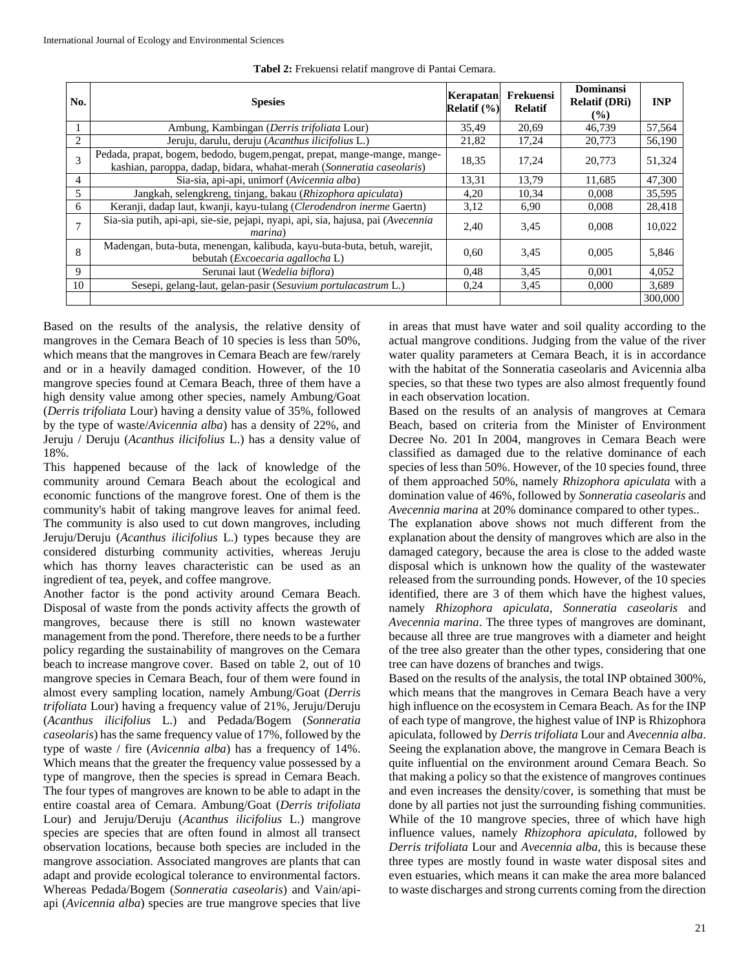| No.            | <b>Spesies</b>                                                                                                                                     | Kerapatan<br>Relatif $(\% )$ | Frekuensi<br><b>Relatif</b> | Dominansi<br><b>Relatif (DRi)</b><br>$($ %) | <b>INP</b> |
|----------------|----------------------------------------------------------------------------------------------------------------------------------------------------|------------------------------|-----------------------------|---------------------------------------------|------------|
|                | Ambung, Kambingan (Derris trifoliata Lour)                                                                                                         | 35,49                        | 20,69                       | 46,739                                      | 57,564     |
| $\overline{c}$ | Jeruju, darulu, deruju (Acanthus ilicifolius L.)                                                                                                   | 21,82                        | 17,24                       | 20,773                                      | 56,190     |
| 3              | Pedada, prapat, bogem, bedodo, bugem, pengat, prepat, mange-mange, mange-<br>kashian, paroppa, dadap, bidara, whahat-merah (Sonneratia caseolaris) | 18,35                        | 17.24                       | 20,773                                      | 51,324     |
| 4              | Sia-sia, api-api, unimorf (Avicennia alba)                                                                                                         | 13,31                        | 13.79                       | 11.685                                      | 47.300     |
| 5              | Jangkah, selengkreng, tinjang, bakau (Rhizophora apiculata)                                                                                        | 4,20                         | 10,34                       | 0.008                                       | 35,595     |
| 6              | Keranji, dadap laut, kwanji, kayu-tulang (Clerodendron inerme Gaertn)                                                                              | 3,12                         | 6,90                        | 0,008                                       | 28,418     |
|                | Sia-sia putih, api-api, sie-sie, pejapi, nyapi, api, sia, hajusa, pai (Avecennia<br><i>marina</i> )                                                | 2,40                         | 3.45                        | 0.008                                       | 10,022     |
| 8              | Madengan, buta-buta, menengan, kalibuda, kayu-buta-buta, betuh, warejit,<br>bebutah ( <i>Excoecaria agallocha</i> L)                               | 0,60                         | 3,45                        | 0.005                                       | 5,846      |
| 9              | Serunai laut (Wedelia biflora)                                                                                                                     | 0.48                         | 3.45                        | 0.001                                       | 4.052      |
| 10             | Sesepi, gelang-laut, gelan-pasir (Sesuvium portulacastrum L.)                                                                                      | 0,24                         | 3.45                        | 0.000                                       | 3,689      |
|                |                                                                                                                                                    |                              |                             |                                             | 300,000    |

**Tabel 2:** Frekuensi relatif mangrove di Pantai Cemara.

Based on the results of the analysis, the relative density of mangroves in the Cemara Beach of 10 species is less than 50%, which means that the mangroves in Cemara Beach are few/rarely and or in a heavily damaged condition. However, of the 10 mangrove species found at Cemara Beach, three of them have a high density value among other species, namely Ambung/Goat (*Derris trifoliata* Lour) having a density value of 35%, followed by the type of waste/*Avicennia alba*) has a density of 22%, and Jeruju / Deruju (*Acanthus ilicifolius* L.) has a density value of 18%.

This happened because of the lack of knowledge of the community around Cemara Beach about the ecological and economic functions of the mangrove forest. One of them is the community's habit of taking mangrove leaves for animal feed. The community is also used to cut down mangroves, including Jeruju/Deruju (*Acanthus ilicifolius* L.) types because they are considered disturbing community activities, whereas Jeruju which has thorny leaves characteristic can be used as an ingredient of tea, peyek, and coffee mangrove.

Another factor is the pond activity around Cemara Beach. Disposal of waste from the ponds activity affects the growth of mangroves, because there is still no known wastewater management from the pond. Therefore, there needs to be a further policy regarding the sustainability of mangroves on the Cemara beach to increase mangrove cover. Based on table 2, out of 10 mangrove species in Cemara Beach, four of them were found in almost every sampling location, namely Ambung/Goat (*Derris trifoliata* Lour) having a frequency value of 21%, Jeruju/Deruju (*Acanthus ilicifolius* L.) and Pedada/Bogem (*Sonneratia caseolaris*) has the same frequency value of 17%, followed by the type of waste / fire (*Avicennia alba*) has a frequency of 14%. Which means that the greater the frequency value possessed by a type of mangrove, then the species is spread in Cemara Beach. The four types of mangroves are known to be able to adapt in the entire coastal area of Cemara. Ambung/Goat (*Derris trifoliata* Lour) and Jeruju/Deruju (*Acanthus ilicifolius* L.) mangrove species are species that are often found in almost all transect observation locations, because both species are included in the mangrove association. Associated mangroves are plants that can adapt and provide ecological tolerance to environmental factors. Whereas Pedada/Bogem (*Sonneratia caseolaris*) and Vain/apiapi (*Avicennia alba*) species are true mangrove species that live in areas that must have water and soil quality according to the actual mangrove conditions. Judging from the value of the river water quality parameters at Cemara Beach, it is in accordance with the habitat of the Sonneratia caseolaris and Avicennia alba species, so that these two types are also almost frequently found in each observation location.

Based on the results of an analysis of mangroves at Cemara Beach, based on criteria from the Minister of Environment Decree No. 201 In 2004, mangroves in Cemara Beach were classified as damaged due to the relative dominance of each species of less than 50%. However, of the 10 species found, three of them approached 50%, namely *Rhizophora apiculata* with a domination value of 46%, followed by *Sonneratia caseolaris* and *Avecennia marina* at 20% dominance compared to other types..

The explanation above shows not much different from the explanation about the density of mangroves which are also in the damaged category, because the area is close to the added waste disposal which is unknown how the quality of the wastewater released from the surrounding ponds. However, of the 10 species identified, there are 3 of them which have the highest values, namely *Rhizophora apiculata*, *Sonneratia caseolaris* and *Avecennia marina*. The three types of mangroves are dominant, because all three are true mangroves with a diameter and height of the tree also greater than the other types, considering that one tree can have dozens of branches and twigs.

Based on the results of the analysis, the total INP obtained 300%, which means that the mangroves in Cemara Beach have a very high influence on the ecosystem in Cemara Beach. As for the INP of each type of mangrove, the highest value of INP is Rhizophora apiculata, followed by *Derris trifoliata* Lour and *Avecennia alba*. Seeing the explanation above, the mangrove in Cemara Beach is quite influential on the environment around Cemara Beach. So that making a policy so that the existence of mangroves continues and even increases the density/cover, is something that must be done by all parties not just the surrounding fishing communities. While of the 10 mangrove species, three of which have high influence values, namely *Rhizophora apiculata*, followed by *Derris trifoliata* Lour and *Avecennia alba*, this is because these three types are mostly found in waste water disposal sites and even estuaries, which means it can make the area more balanced to waste discharges and strong currents coming from the direction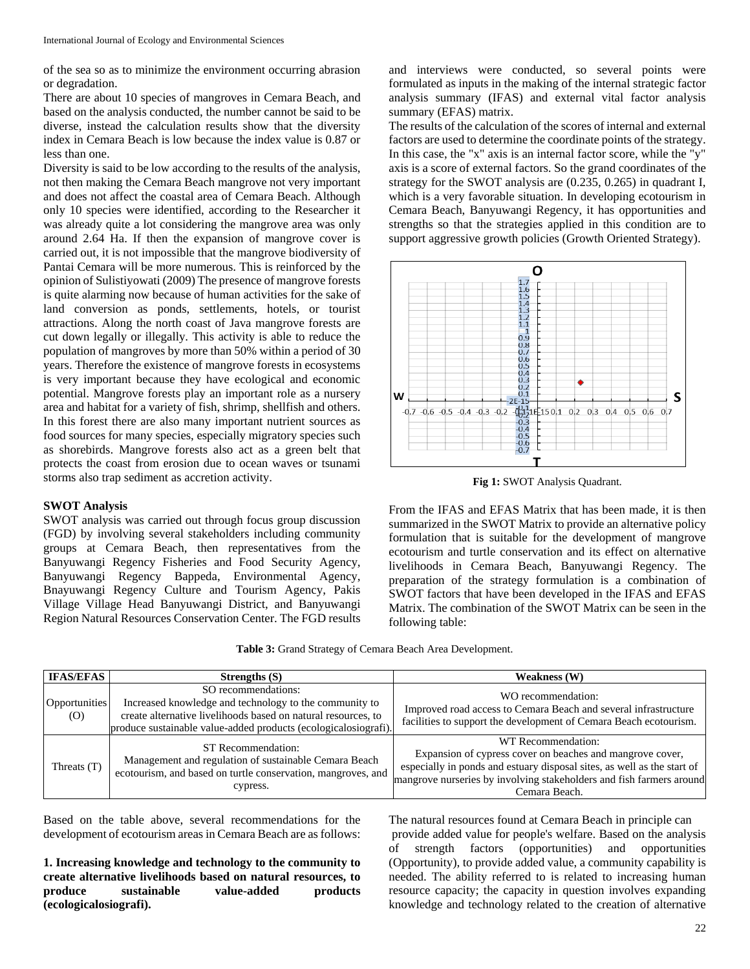of the sea so as to minimize the environment occurring abrasion or degradation.

There are about 10 species of mangroves in Cemara Beach, and based on the analysis conducted, the number cannot be said to be diverse, instead the calculation results show that the diversity index in Cemara Beach is low because the index value is 0.87 or less than one.

Diversity is said to be low according to the results of the analysis, not then making the Cemara Beach mangrove not very important and does not affect the coastal area of Cemara Beach. Although only 10 species were identified, according to the Researcher it was already quite a lot considering the mangrove area was only around 2.64 Ha. If then the expansion of mangrove cover is carried out, it is not impossible that the mangrove biodiversity of Pantai Cemara will be more numerous. This is reinforced by the opinion of Sulistiyowati (2009) The presence of mangrove forests is quite alarming now because of human activities for the sake of land conversion as ponds, settlements, hotels, or tourist attractions. Along the north coast of Java mangrove forests are cut down legally or illegally. This activity is able to reduce the population of mangroves by more than 50% within a period of 30 years. Therefore the existence of mangrove forests in ecosystems is very important because they have ecological and economic potential. Mangrove forests play an important role as a nursery area and habitat for a variety of fish, shrimp, shellfish and others. In this forest there are also many important nutrient sources as food sources for many species, especially migratory species such as shorebirds. Mangrove forests also act as a green belt that protects the coast from erosion due to ocean waves or tsunami storms also trap sediment as accretion activity.

## **SWOT Analysis**

SWOT analysis was carried out through focus group discussion (FGD) by involving several stakeholders including community groups at Cemara Beach, then representatives from the Banyuwangi Regency Fisheries and Food Security Agency, Banyuwangi Regency Bappeda, Environmental Agency, Bnayuwangi Regency Culture and Tourism Agency, Pakis Village Village Head Banyuwangi District, and Banyuwangi Region Natural Resources Conservation Center. The FGD results and interviews were conducted, so several points were formulated as inputs in the making of the internal strategic factor analysis summary (IFAS) and external vital factor analysis summary (EFAS) matrix.

The results of the calculation of the scores of internal and external factors are used to determine the coordinate points of the strategy. In this case, the "x" axis is an internal factor score, while the "y" axis is a score of external factors. So the grand coordinates of the strategy for the SWOT analysis are (0.235, 0.265) in quadrant I, which is a very favorable situation. In developing ecotourism in Cemara Beach, Banyuwangi Regency, it has opportunities and strengths so that the strategies applied in this condition are to support aggressive growth policies (Growth Oriented Strategy).



**Fig 1:** SWOT Analysis Quadrant.

From the IFAS and EFAS Matrix that has been made, it is then summarized in the SWOT Matrix to provide an alternative policy formulation that is suitable for the development of mangrove ecotourism and turtle conservation and its effect on alternative livelihoods in Cemara Beach, Banyuwangi Regency. The preparation of the strategy formulation is a combination of SWOT factors that have been developed in the IFAS and EFAS Matrix. The combination of the SWOT Matrix can be seen in the following table:

| <b>IFAS/EFAS</b>     | Strengths $(S)$                                                                                                                                                                                                   | <b>Weakness</b> (W)                                                                                                                                                                                                                                 |
|----------------------|-------------------------------------------------------------------------------------------------------------------------------------------------------------------------------------------------------------------|-----------------------------------------------------------------------------------------------------------------------------------------------------------------------------------------------------------------------------------------------------|
| Opportunities<br>(O) | SO recommendations:<br>Increased knowledge and technology to the community to<br>create alternative livelihoods based on natural resources, to<br>produce sustainable value-added products (ecologicalosiografi). | WO recommendation:<br>Improved road access to Cemara Beach and several infrastructure<br>facilities to support the development of Cemara Beach ecotourism.                                                                                          |
| Threats $(T)$        | ST Recommendation:<br>Management and regulation of sustainable Cemara Beach<br>ecotourism, and based on turtle conservation, mangroves, and<br>cypress.                                                           | WT Recommendation:<br>Expansion of cypress cover on beaches and mangrove cover,<br>especially in ponds and estuary disposal sites, as well as the start of<br>mangrove nurseries by involving stakeholders and fish farmers around<br>Cemara Beach. |

Based on the table above, several recommendations for the development of ecotourism areas in Cemara Beach are as follows:

**1. Increasing knowledge and technology to the community to create alternative livelihoods based on natural resources, to produce sustainable value-added products (ecologicalosiografi).**

The natural resources found at Cemara Beach in principle can provide added value for people's welfare. Based on the analysis of strength factors (opportunities) and opportunities (Opportunity), to provide added value, a community capability is needed. The ability referred to is related to increasing human resource capacity; the capacity in question involves expanding knowledge and technology related to the creation of alternative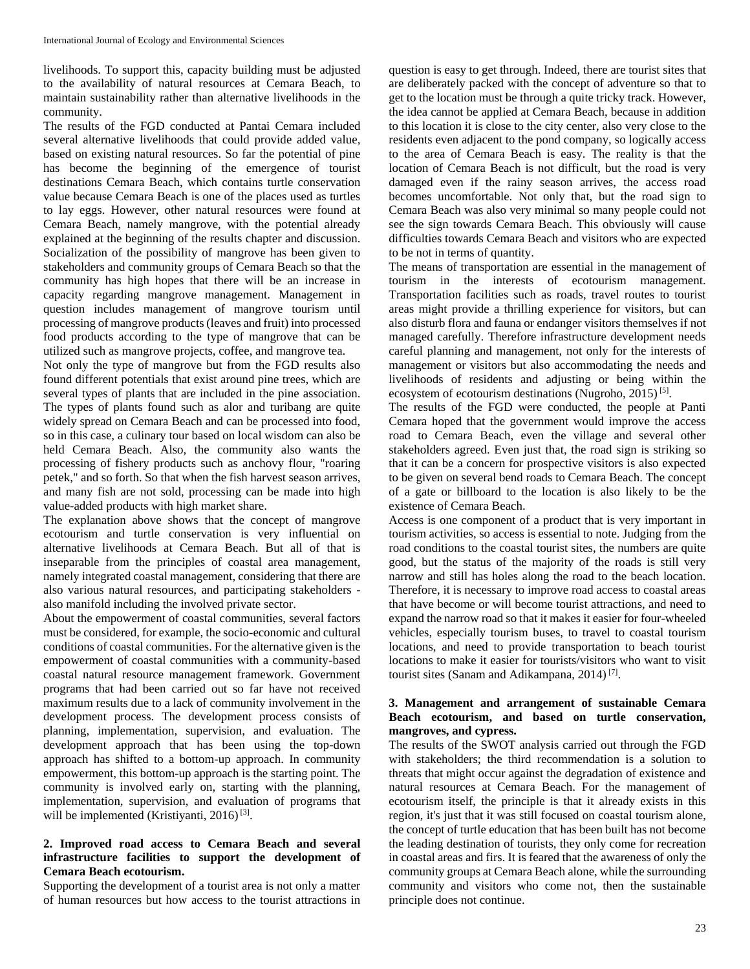livelihoods. To support this, capacity building must be adjusted to the availability of natural resources at Cemara Beach, to maintain sustainability rather than alternative livelihoods in the community.

The results of the FGD conducted at Pantai Cemara included several alternative livelihoods that could provide added value, based on existing natural resources. So far the potential of pine has become the beginning of the emergence of tourist destinations Cemara Beach, which contains turtle conservation value because Cemara Beach is one of the places used as turtles to lay eggs. However, other natural resources were found at Cemara Beach, namely mangrove, with the potential already explained at the beginning of the results chapter and discussion. Socialization of the possibility of mangrove has been given to stakeholders and community groups of Cemara Beach so that the community has high hopes that there will be an increase in capacity regarding mangrove management. Management in question includes management of mangrove tourism until processing of mangrove products (leaves and fruit) into processed food products according to the type of mangrove that can be utilized such as mangrove projects, coffee, and mangrove tea.

Not only the type of mangrove but from the FGD results also found different potentials that exist around pine trees, which are several types of plants that are included in the pine association. The types of plants found such as alor and turibang are quite widely spread on Cemara Beach and can be processed into food, so in this case, a culinary tour based on local wisdom can also be held Cemara Beach. Also, the community also wants the processing of fishery products such as anchovy flour, "roaring petek," and so forth. So that when the fish harvest season arrives, and many fish are not sold, processing can be made into high value-added products with high market share.

The explanation above shows that the concept of mangrove ecotourism and turtle conservation is very influential on alternative livelihoods at Cemara Beach. But all of that is inseparable from the principles of coastal area management, namely integrated coastal management, considering that there are also various natural resources, and participating stakeholders also manifold including the involved private sector.

About the empowerment of coastal communities, several factors must be considered, for example, the socio-economic and cultural conditions of coastal communities. For the alternative given is the empowerment of coastal communities with a community-based coastal natural resource management framework. Government programs that had been carried out so far have not received maximum results due to a lack of community involvement in the development process. The development process consists of planning, implementation, supervision, and evaluation. The development approach that has been using the top-down approach has shifted to a bottom-up approach. In community empowerment, this bottom-up approach is the starting point. The community is involved early on, starting with the planning, implementation, supervision, and evaluation of programs that will be implemented (Kristiyanti, 2016)<sup>[3]</sup>.

# **2. Improved road access to Cemara Beach and several infrastructure facilities to support the development of Cemara Beach ecotourism.**

Supporting the development of a tourist area is not only a matter of human resources but how access to the tourist attractions in question is easy to get through. Indeed, there are tourist sites that are deliberately packed with the concept of adventure so that to get to the location must be through a quite tricky track. However, the idea cannot be applied at Cemara Beach, because in addition to this location it is close to the city center, also very close to the residents even adjacent to the pond company, so logically access to the area of Cemara Beach is easy. The reality is that the location of Cemara Beach is not difficult, but the road is very damaged even if the rainy season arrives, the access road becomes uncomfortable. Not only that, but the road sign to Cemara Beach was also very minimal so many people could not see the sign towards Cemara Beach. This obviously will cause difficulties towards Cemara Beach and visitors who are expected to be not in terms of quantity.

The means of transportation are essential in the management of tourism in the interests of ecotourism management. Transportation facilities such as roads, travel routes to tourist areas might provide a thrilling experience for visitors, but can also disturb flora and fauna or endanger visitors themselves if not managed carefully. Therefore infrastructure development needs careful planning and management, not only for the interests of management or visitors but also accommodating the needs and livelihoods of residents and adjusting or being within the ecosystem of ecotourism destinations (Nugroho, 2015)<sup>[5]</sup>.

The results of the FGD were conducted, the people at Panti Cemara hoped that the government would improve the access road to Cemara Beach, even the village and several other stakeholders agreed. Even just that, the road sign is striking so that it can be a concern for prospective visitors is also expected to be given on several bend roads to Cemara Beach. The concept of a gate or billboard to the location is also likely to be the existence of Cemara Beach.

Access is one component of a product that is very important in tourism activities, so access is essential to note. Judging from the road conditions to the coastal tourist sites, the numbers are quite good, but the status of the majority of the roads is still very narrow and still has holes along the road to the beach location. Therefore, it is necessary to improve road access to coastal areas that have become or will become tourist attractions, and need to expand the narrow road so that it makes it easier for four-wheeled vehicles, especially tourism buses, to travel to coastal tourism locations, and need to provide transportation to beach tourist locations to make it easier for tourists/visitors who want to visit tourist sites (Sanam and Adikampana, 2014)<sup>[7]</sup>.

# **3. Management and arrangement of sustainable Cemara Beach ecotourism, and based on turtle conservation, mangroves, and cypress.**

The results of the SWOT analysis carried out through the FGD with stakeholders; the third recommendation is a solution to threats that might occur against the degradation of existence and natural resources at Cemara Beach. For the management of ecotourism itself, the principle is that it already exists in this region, it's just that it was still focused on coastal tourism alone, the concept of turtle education that has been built has not become the leading destination of tourists, they only come for recreation in coastal areas and firs. It is feared that the awareness of only the community groups at Cemara Beach alone, while the surrounding community and visitors who come not, then the sustainable principle does not continue.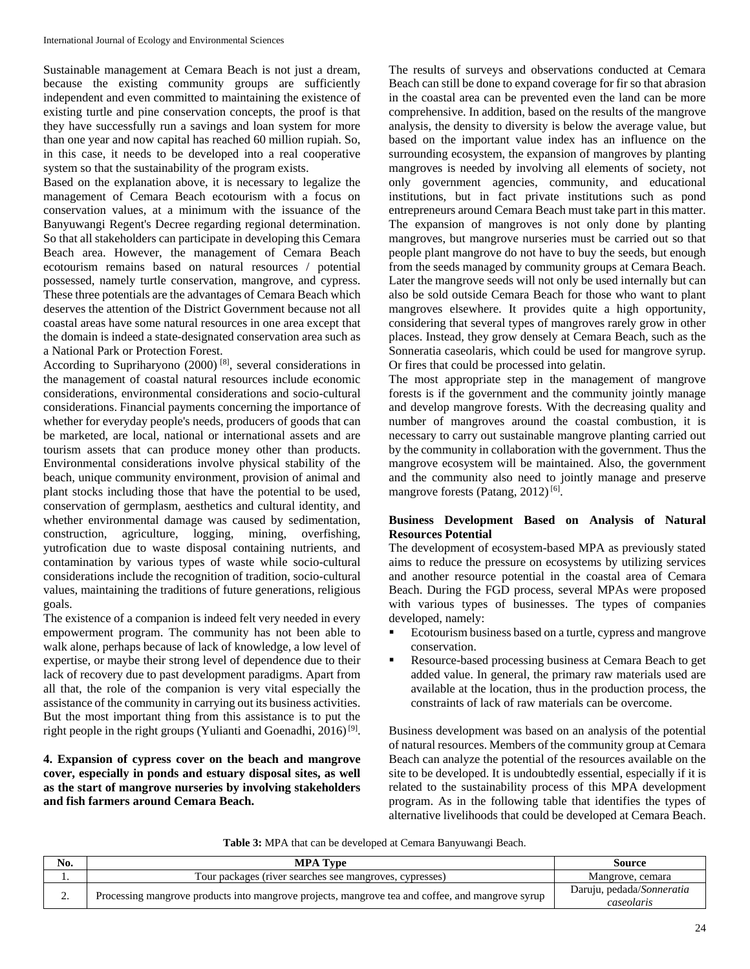Sustainable management at Cemara Beach is not just a dream, because the existing community groups are sufficiently independent and even committed to maintaining the existence of existing turtle and pine conservation concepts, the proof is that they have successfully run a savings and loan system for more than one year and now capital has reached 60 million rupiah. So, in this case, it needs to be developed into a real cooperative system so that the sustainability of the program exists.

Based on the explanation above, it is necessary to legalize the management of Cemara Beach ecotourism with a focus on conservation values, at a minimum with the issuance of the Banyuwangi Regent's Decree regarding regional determination. So that all stakeholders can participate in developing this Cemara Beach area. However, the management of Cemara Beach ecotourism remains based on natural resources / potential possessed, namely turtle conservation, mangrove, and cypress. These three potentials are the advantages of Cemara Beach which deserves the attention of the District Government because not all coastal areas have some natural resources in one area except that the domain is indeed a state-designated conservation area such as a National Park or Protection Forest.

According to Supriharyono (2000) [8], several considerations in the management of coastal natural resources include economic considerations, environmental considerations and socio-cultural considerations. Financial payments concerning the importance of whether for everyday people's needs, producers of goods that can be marketed, are local, national or international assets and are tourism assets that can produce money other than products. Environmental considerations involve physical stability of the beach, unique community environment, provision of animal and plant stocks including those that have the potential to be used, conservation of germplasm, aesthetics and cultural identity, and whether environmental damage was caused by sedimentation, construction, agriculture, logging, mining, overfishing, yutrofication due to waste disposal containing nutrients, and contamination by various types of waste while socio-cultural considerations include the recognition of tradition, socio-cultural values, maintaining the traditions of future generations, religious goals.

The existence of a companion is indeed felt very needed in every empowerment program. The community has not been able to walk alone, perhaps because of lack of knowledge, a low level of expertise, or maybe their strong level of dependence due to their lack of recovery due to past development paradigms. Apart from all that, the role of the companion is very vital especially the assistance of the community in carrying out its business activities. But the most important thing from this assistance is to put the right people in the right groups (Yulianti and Goenadhi, 2016)<sup>[9]</sup>.

**4. Expansion of cypress cover on the beach and mangrove cover, especially in ponds and estuary disposal sites, as well as the start of mangrove nurseries by involving stakeholders and fish farmers around Cemara Beach.**

The results of surveys and observations conducted at Cemara Beach can still be done to expand coverage for fir so that abrasion in the coastal area can be prevented even the land can be more comprehensive. In addition, based on the results of the mangrove analysis, the density to diversity is below the average value, but based on the important value index has an influence on the surrounding ecosystem, the expansion of mangroves by planting mangroves is needed by involving all elements of society, not only government agencies, community, and educational institutions, but in fact private institutions such as pond entrepreneurs around Cemara Beach must take part in this matter. The expansion of mangroves is not only done by planting mangroves, but mangrove nurseries must be carried out so that people plant mangrove do not have to buy the seeds, but enough from the seeds managed by community groups at Cemara Beach. Later the mangrove seeds will not only be used internally but can also be sold outside Cemara Beach for those who want to plant mangroves elsewhere. It provides quite a high opportunity, considering that several types of mangroves rarely grow in other places. Instead, they grow densely at Cemara Beach, such as the Sonneratia caseolaris, which could be used for mangrove syrup. Or fires that could be processed into gelatin.

The most appropriate step in the management of mangrove forests is if the government and the community jointly manage and develop mangrove forests. With the decreasing quality and number of mangroves around the coastal combustion, it is necessary to carry out sustainable mangrove planting carried out by the community in collaboration with the government. Thus the mangrove ecosystem will be maintained. Also, the government and the community also need to jointly manage and preserve mangrove forests (Patang, 2012)<sup>[6]</sup>.

# **Business Development Based on Analysis of Natural Resources Potential**

The development of ecosystem-based MPA as previously stated aims to reduce the pressure on ecosystems by utilizing services and another resource potential in the coastal area of Cemara Beach. During the FGD process, several MPAs were proposed with various types of businesses. The types of companies developed, namely:

- Ecotourism business based on a turtle, cypress and mangrove conservation.
- Resource-based processing business at Cemara Beach to get added value. In general, the primary raw materials used are available at the location, thus in the production process, the constraints of lack of raw materials can be overcome.

Business development was based on an analysis of the potential of natural resources. Members of the community group at Cemara Beach can analyze the potential of the resources available on the site to be developed. It is undoubtedly essential, especially if it is related to the sustainability process of this MPA development program. As in the following table that identifies the types of alternative livelihoods that could be developed at Cemara Beach.

**Table 3:** MPA that can be developed at Cemara Banyuwangi Beach.

| No. | <b>MPA Type</b>                                                                                  | Source                                  |
|-----|--------------------------------------------------------------------------------------------------|-----------------------------------------|
|     | Tour packages (river searches see mangroves, cypresses)                                          | Mangrove, cemara                        |
| ٠.  | Processing mangrove products into mangrove projects, mangrove tea and coffee, and mangrove syrup | Daruju, pedada/Sonneratia<br>caseolaris |